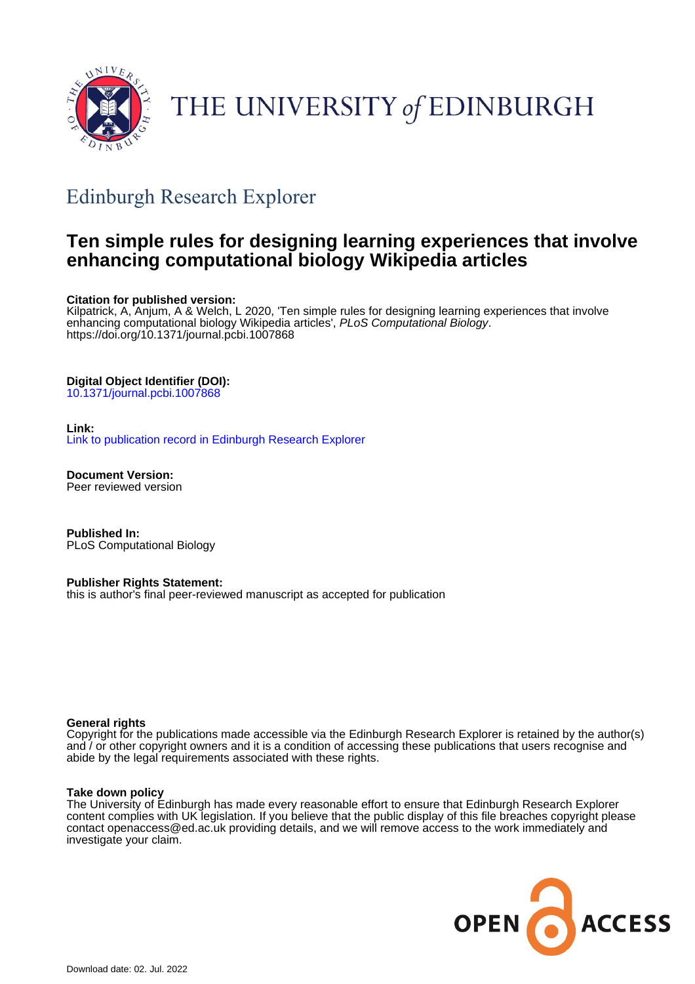

# THE UNIVERSITY of EDINBURGH

## Edinburgh Research Explorer

### **Ten simple rules for designing learning experiences that involve enhancing computational biology Wikipedia articles**

#### **Citation for published version:**

Kilpatrick, A, Anjum, A & Welch, L 2020, 'Ten simple rules for designing learning experiences that involve enhancing computational biology Wikipedia articles', PLoS Computational Biology. <https://doi.org/10.1371/journal.pcbi.1007868>

#### **Digital Object Identifier (DOI):**

[10.1371/journal.pcbi.1007868](https://doi.org/10.1371/journal.pcbi.1007868)

#### **Link:**

[Link to publication record in Edinburgh Research Explorer](https://www.research.ed.ac.uk/en/publications/933cf579-cd42-42ad-a5ff-f1e20845aa6f)

**Document Version:** Peer reviewed version

**Published In:** PLoS Computational Biology

#### **Publisher Rights Statement:**

this is author's final peer-reviewed manuscript as accepted for publication

#### **General rights**

Copyright for the publications made accessible via the Edinburgh Research Explorer is retained by the author(s) and / or other copyright owners and it is a condition of accessing these publications that users recognise and abide by the legal requirements associated with these rights.

#### **Take down policy**

The University of Edinburgh has made every reasonable effort to ensure that Edinburgh Research Explorer content complies with UK legislation. If you believe that the public display of this file breaches copyright please contact openaccess@ed.ac.uk providing details, and we will remove access to the work immediately and investigate your claim.

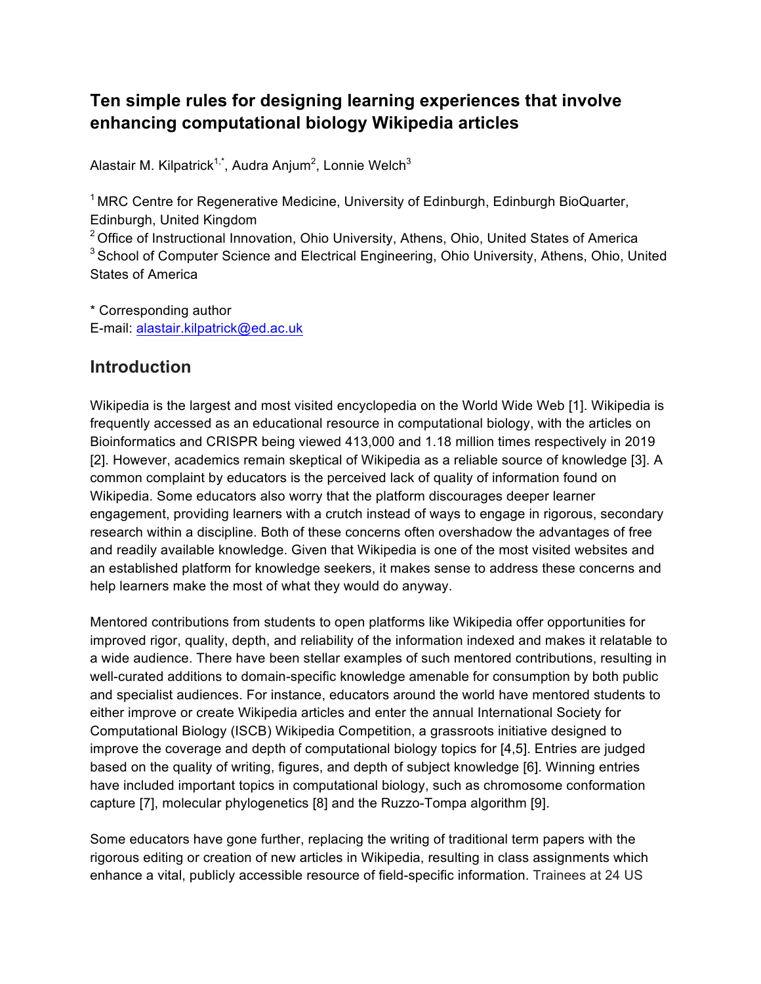### **Ten simple rules for designing learning experiences that involve enhancing computational biology Wikipedia articles**

Alastair M. Kilpatrick<sup>1,\*</sup>, Audra Anjum<sup>2</sup>, Lonnie Welch<sup>3</sup>

<sup>1</sup> MRC Centre for Regenerative Medicine, University of Edinburgh, Edinburgh BioQuarter, Edinburgh, United Kingdom

<sup>2</sup> Office of Instructional Innovation, Ohio University, Athens, Ohio, United States of America <sup>3</sup> School of Computer Science and Electrical Engineering, Ohio University, Athens, Ohio, United States of America

\* Corresponding author E-mail: alastair.kilpatrick@ed.ac.uk

#### **Introduction**

Wikipedia is the largest and most visited encyclopedia on the World Wide Web [1]. Wikipedia is frequently accessed as an educational resource in computational biology, with the articles on Bioinformatics and CRISPR being viewed 413,000 and 1.18 million times respectively in 2019 [2]. However, academics remain skeptical of Wikipedia as a reliable source of knowledge [3]. A common complaint by educators is the perceived lack of quality of information found on Wikipedia. Some educators also worry that the platform discourages deeper learner engagement, providing learners with a crutch instead of ways to engage in rigorous, secondary research within a discipline. Both of these concerns often overshadow the advantages of free and readily available knowledge. Given that Wikipedia is one of the most visited websites and an established platform for knowledge seekers, it makes sense to address these concerns and help learners make the most of what they would do anyway.

Mentored contributions from students to open platforms like Wikipedia offer opportunities for improved rigor, quality, depth, and reliability of the information indexed and makes it relatable to a wide audience. There have been stellar examples of such mentored contributions, resulting in well-curated additions to domain-specific knowledge amenable for consumption by both public and specialist audiences. For instance, educators around the world have mentored students to either improve or create Wikipedia articles and enter the annual International Society for Computational Biology (ISCB) Wikipedia Competition, a grassroots initiative designed to improve the coverage and depth of computational biology topics for [4,5]. Entries are judged based on the quality of writing, figures, and depth of subject knowledge [6]. Winning entries have included important topics in computational biology, such as chromosome conformation capture [7], molecular phylogenetics [8] and the Ruzzo-Tompa algorithm [9].

Some educators have gone further, replacing the writing of traditional term papers with the rigorous editing or creation of new articles in Wikipedia, resulting in class assignments which enhance a vital, publicly accessible resource of field-specific information. Trainees at 24 US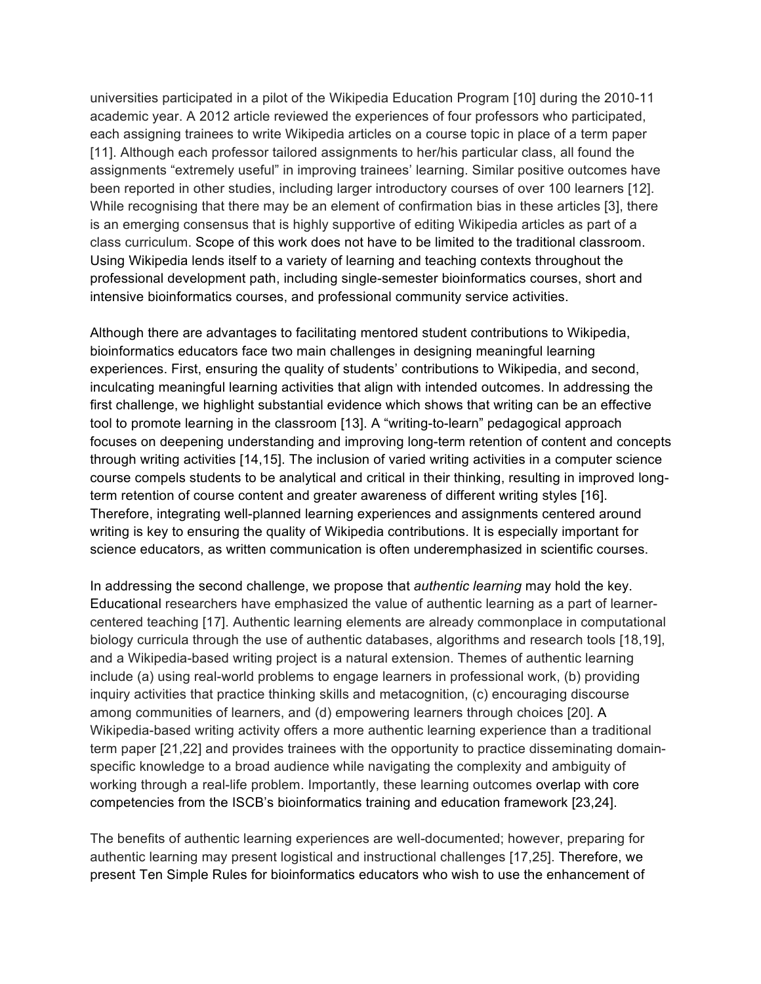universities participated in a pilot of the Wikipedia Education Program [10] during the 2010-11 academic year. A 2012 article reviewed the experiences of four professors who participated, each assigning trainees to write Wikipedia articles on a course topic in place of a term paper [11]. Although each professor tailored assignments to her/his particular class, all found the assignments "extremely useful" in improving trainees' learning. Similar positive outcomes have been reported in other studies, including larger introductory courses of over 100 learners [12]. While recognising that there may be an element of confirmation bias in these articles [3], there is an emerging consensus that is highly supportive of editing Wikipedia articles as part of a class curriculum. Scope of this work does not have to be limited to the traditional classroom. Using Wikipedia lends itself to a variety of learning and teaching contexts throughout the professional development path, including single-semester bioinformatics courses, short and intensive bioinformatics courses, and professional community service activities.

Although there are advantages to facilitating mentored student contributions to Wikipedia, bioinformatics educators face two main challenges in designing meaningful learning experiences. First, ensuring the quality of students' contributions to Wikipedia, and second, inculcating meaningful learning activities that align with intended outcomes. In addressing the first challenge, we highlight substantial evidence which shows that writing can be an effective tool to promote learning in the classroom [13]. A "writing-to-learn" pedagogical approach focuses on deepening understanding and improving long-term retention of content and concepts through writing activities [14,15]. The inclusion of varied writing activities in a computer science course compels students to be analytical and critical in their thinking, resulting in improved longterm retention of course content and greater awareness of different writing styles [16]. Therefore, integrating well-planned learning experiences and assignments centered around writing is key to ensuring the quality of Wikipedia contributions. It is especially important for science educators, as written communication is often underemphasized in scientific courses.

In addressing the second challenge, we propose that *authentic learning* may hold the key. Educational researchers have emphasized the value of authentic learning as a part of learnercentered teaching [17]. Authentic learning elements are already commonplace in computational biology curricula through the use of authentic databases, algorithms and research tools [18,19], and a Wikipedia-based writing project is a natural extension. Themes of authentic learning include (a) using real-world problems to engage learners in professional work, (b) providing inquiry activities that practice thinking skills and metacognition, (c) encouraging discourse among communities of learners, and (d) empowering learners through choices [20]. A Wikipedia-based writing activity offers a more authentic learning experience than a traditional term paper [21,22] and provides trainees with the opportunity to practice disseminating domainspecific knowledge to a broad audience while navigating the complexity and ambiguity of working through a real-life problem. Importantly, these learning outcomes overlap with core competencies from the ISCB's bioinformatics training and education framework [23,24].

The benefits of authentic learning experiences are well-documented; however, preparing for authentic learning may present logistical and instructional challenges [17,25]. Therefore, we present Ten Simple Rules for bioinformatics educators who wish to use the enhancement of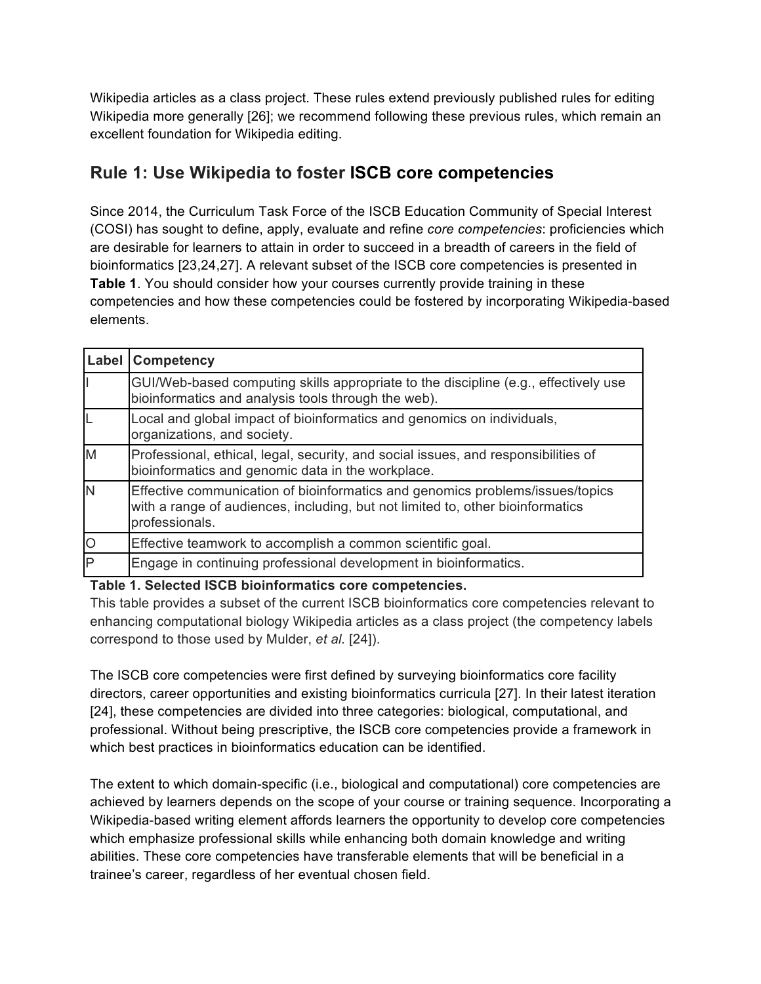Wikipedia articles as a class project. These rules extend previously published rules for editing Wikipedia more generally [26]; we recommend following these previous rules, which remain an excellent foundation for Wikipedia editing.

### **Rule 1: Use Wikipedia to foster ISCB core competencies**

Since 2014, the Curriculum Task Force of the ISCB Education Community of Special Interest (COSI) has sought to define, apply, evaluate and refine *core competencies*: proficiencies which are desirable for learners to attain in order to succeed in a breadth of careers in the field of bioinformatics [23,24,27]. A relevant subset of the ISCB core competencies is presented in **Table 1**. You should consider how your courses currently provide training in these competencies and how these competencies could be fostered by incorporating Wikipedia-based elements.

| Label          | <b>Competency</b>                                                                                                                                                                 |
|----------------|-----------------------------------------------------------------------------------------------------------------------------------------------------------------------------------|
|                | GUI/Web-based computing skills appropriate to the discipline (e.g., effectively use<br>bioinformatics and analysis tools through the web).                                        |
|                | Local and global impact of bioinformatics and genomics on individuals,<br>organizations, and society.                                                                             |
| M              | Professional, ethical, legal, security, and social issues, and responsibilities of<br>bioinformatics and genomic data in the workplace.                                           |
| <b>N</b>       | Effective communication of bioinformatics and genomics problems/issues/topics<br>with a range of audiences, including, but not limited to, other bioinformatics<br>professionals. |
| $\overline{O}$ | Effective teamwork to accomplish a common scientific goal.                                                                                                                        |
| P              | Engage in continuing professional development in bioinformatics.                                                                                                                  |

**Table 1. Selected ISCB bioinformatics core competencies.**

This table provides a subset of the current ISCB bioinformatics core competencies relevant to enhancing computational biology Wikipedia articles as a class project (the competency labels correspond to those used by Mulder, *et al.* [24]).

The ISCB core competencies were first defined by surveying bioinformatics core facility directors, career opportunities and existing bioinformatics curricula [27]. In their latest iteration [24], these competencies are divided into three categories: biological, computational, and professional. Without being prescriptive, the ISCB core competencies provide a framework in which best practices in bioinformatics education can be identified.

The extent to which domain-specific (i.e., biological and computational) core competencies are achieved by learners depends on the scope of your course or training sequence. Incorporating a Wikipedia-based writing element affords learners the opportunity to develop core competencies which emphasize professional skills while enhancing both domain knowledge and writing abilities. These core competencies have transferable elements that will be beneficial in a trainee's career, regardless of her eventual chosen field.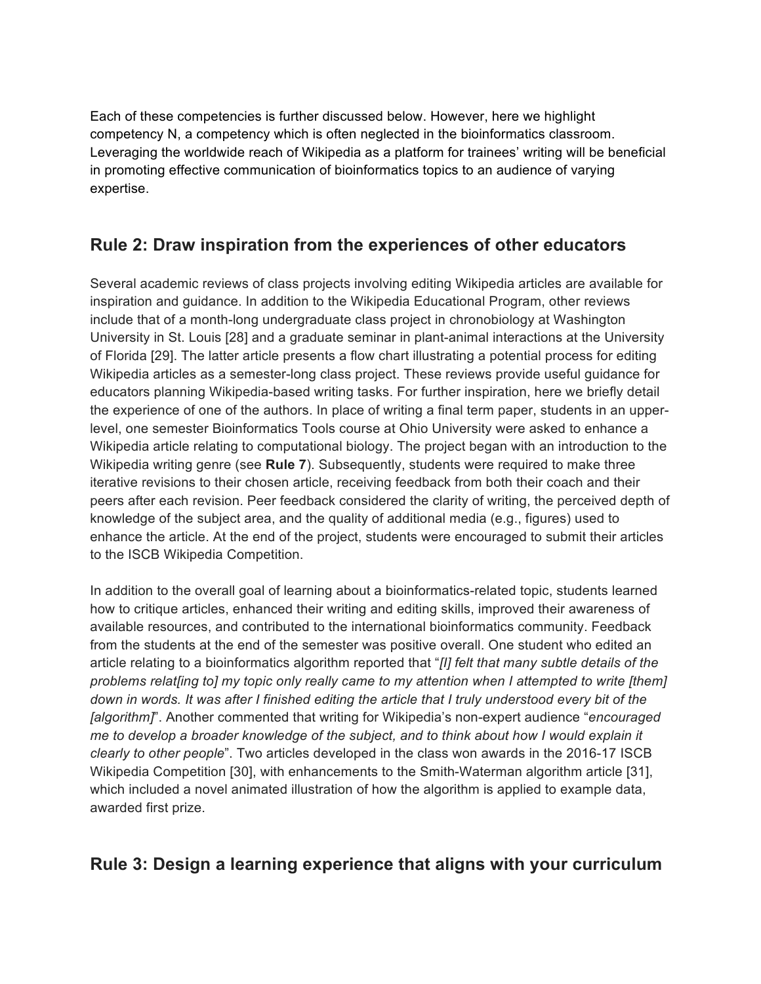Each of these competencies is further discussed below. However, here we highlight competency N, a competency which is often neglected in the bioinformatics classroom. Leveraging the worldwide reach of Wikipedia as a platform for trainees' writing will be beneficial in promoting effective communication of bioinformatics topics to an audience of varying expertise.

#### **Rule 2: Draw inspiration from the experiences of other educators**

Several academic reviews of class projects involving editing Wikipedia articles are available for inspiration and guidance. In addition to the Wikipedia Educational Program, other reviews include that of a month-long undergraduate class project in chronobiology at Washington University in St. Louis [28] and a graduate seminar in plant-animal interactions at the University of Florida [29]. The latter article presents a flow chart illustrating a potential process for editing Wikipedia articles as a semester-long class project. These reviews provide useful guidance for educators planning Wikipedia-based writing tasks. For further inspiration, here we briefly detail the experience of one of the authors. In place of writing a final term paper, students in an upperlevel, one semester Bioinformatics Tools course at Ohio University were asked to enhance a Wikipedia article relating to computational biology. The project began with an introduction to the Wikipedia writing genre (see **Rule 7**). Subsequently, students were required to make three iterative revisions to their chosen article, receiving feedback from both their coach and their peers after each revision. Peer feedback considered the clarity of writing, the perceived depth of knowledge of the subject area, and the quality of additional media (e.g., figures) used to enhance the article. At the end of the project, students were encouraged to submit their articles to the ISCB Wikipedia Competition.

In addition to the overall goal of learning about a bioinformatics-related topic, students learned how to critique articles, enhanced their writing and editing skills, improved their awareness of available resources, and contributed to the international bioinformatics community. Feedback from the students at the end of the semester was positive overall. One student who edited an article relating to a bioinformatics algorithm reported that "*[I] felt that many subtle details of the problems relat[ing to] my topic only really came to my attention when I attempted to write [them] down in words. It was after I finished editing the article that I truly understood every bit of the [algorithm]*". Another commented that writing for Wikipedia's non-expert audience "*encouraged me to develop a broader knowledge of the subject, and to think about how I would explain it clearly to other people*". Two articles developed in the class won awards in the 2016-17 ISCB Wikipedia Competition [30], with enhancements to the Smith-Waterman algorithm article [31], which included a novel animated illustration of how the algorithm is applied to example data, awarded first prize.

#### **Rule 3: Design a learning experience that aligns with your curriculum**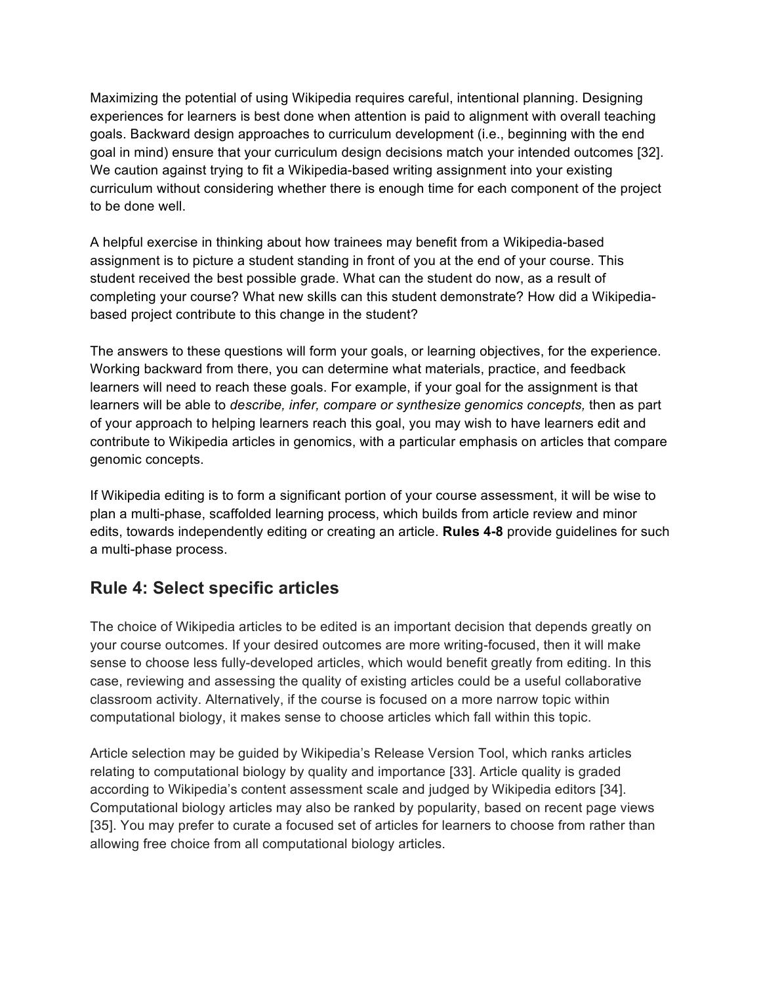Maximizing the potential of using Wikipedia requires careful, intentional planning. Designing experiences for learners is best done when attention is paid to alignment with overall teaching goals. Backward design approaches to curriculum development (i.e., beginning with the end goal in mind) ensure that your curriculum design decisions match your intended outcomes [32]. We caution against trying to fit a Wikipedia-based writing assignment into your existing curriculum without considering whether there is enough time for each component of the project to be done well.

A helpful exercise in thinking about how trainees may benefit from a Wikipedia-based assignment is to picture a student standing in front of you at the end of your course. This student received the best possible grade. What can the student do now, as a result of completing your course? What new skills can this student demonstrate? How did a Wikipediabased project contribute to this change in the student?

The answers to these questions will form your goals, or learning objectives, for the experience. Working backward from there, you can determine what materials, practice, and feedback learners will need to reach these goals. For example, if your goal for the assignment is that learners will be able to *describe, infer, compare or synthesize genomics concepts,* then as part of your approach to helping learners reach this goal, you may wish to have learners edit and contribute to Wikipedia articles in genomics, with a particular emphasis on articles that compare genomic concepts.

If Wikipedia editing is to form a significant portion of your course assessment, it will be wise to plan a multi-phase, scaffolded learning process, which builds from article review and minor edits, towards independently editing or creating an article. **Rules 4-8** provide guidelines for such a multi-phase process.

### **Rule 4: Select specific articles**

The choice of Wikipedia articles to be edited is an important decision that depends greatly on your course outcomes. If your desired outcomes are more writing-focused, then it will make sense to choose less fully-developed articles, which would benefit greatly from editing. In this case, reviewing and assessing the quality of existing articles could be a useful collaborative classroom activity. Alternatively, if the course is focused on a more narrow topic within computational biology, it makes sense to choose articles which fall within this topic.

Article selection may be guided by Wikipedia's Release Version Tool, which ranks articles relating to computational biology by quality and importance [33]. Article quality is graded according to Wikipedia's content assessment scale and judged by Wikipedia editors [34]. Computational biology articles may also be ranked by popularity, based on recent page views [35]. You may prefer to curate a focused set of articles for learners to choose from rather than allowing free choice from all computational biology articles.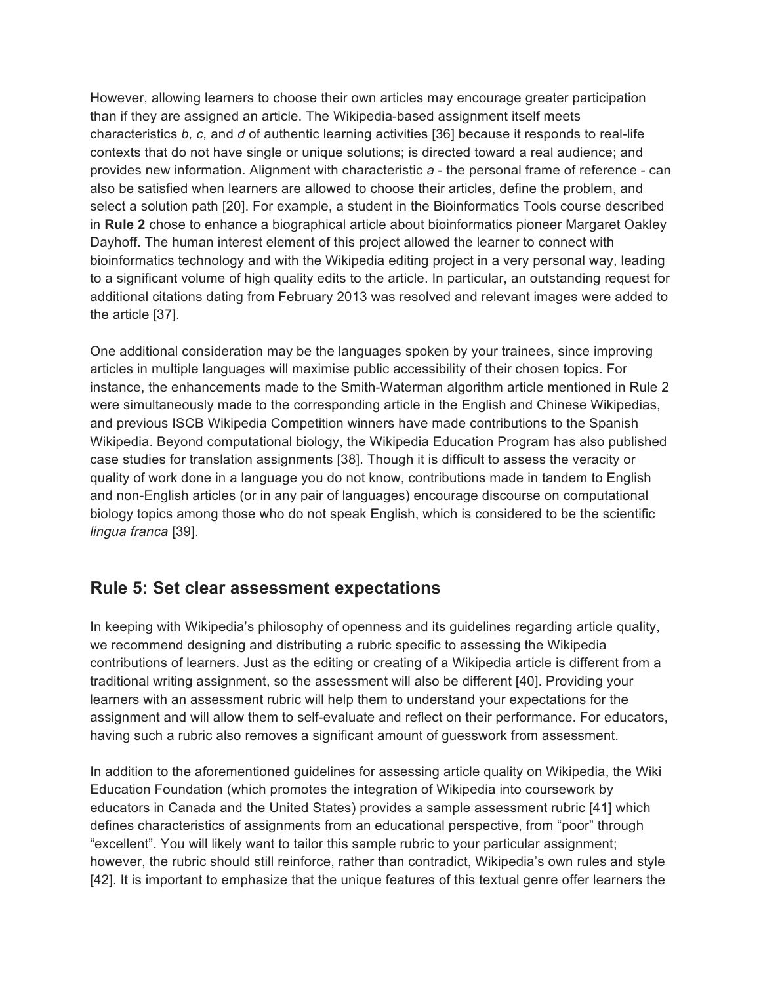However, allowing learners to choose their own articles may encourage greater participation than if they are assigned an article. The Wikipedia-based assignment itself meets characteristics *b, c,* and *d* of authentic learning activities [36] because it responds to real-life contexts that do not have single or unique solutions; is directed toward a real audience; and provides new information. Alignment with characteristic *a* - the personal frame of reference - can also be satisfied when learners are allowed to choose their articles, define the problem, and select a solution path [20]. For example, a student in the Bioinformatics Tools course described in **Rule 2** chose to enhance a biographical article about bioinformatics pioneer Margaret Oakley Dayhoff. The human interest element of this project allowed the learner to connect with bioinformatics technology and with the Wikipedia editing project in a very personal way, leading to a significant volume of high quality edits to the article. In particular, an outstanding request for additional citations dating from February 2013 was resolved and relevant images were added to the article [37].

One additional consideration may be the languages spoken by your trainees, since improving articles in multiple languages will maximise public accessibility of their chosen topics. For instance, the enhancements made to the Smith-Waterman algorithm article mentioned in Rule 2 were simultaneously made to the corresponding article in the English and Chinese Wikipedias, and previous ISCB Wikipedia Competition winners have made contributions to the Spanish Wikipedia. Beyond computational biology, the Wikipedia Education Program has also published case studies for translation assignments [38]. Though it is difficult to assess the veracity or quality of work done in a language you do not know, contributions made in tandem to English and non-English articles (or in any pair of languages) encourage discourse on computational biology topics among those who do not speak English, which is considered to be the scientific *lingua franca* [39].

#### **Rule 5: Set clear assessment expectations**

In keeping with Wikipedia's philosophy of openness and its guidelines regarding article quality, we recommend designing and distributing a rubric specific to assessing the Wikipedia contributions of learners. Just as the editing or creating of a Wikipedia article is different from a traditional writing assignment, so the assessment will also be different [40]. Providing your learners with an assessment rubric will help them to understand your expectations for the assignment and will allow them to self-evaluate and reflect on their performance. For educators, having such a rubric also removes a significant amount of guesswork from assessment.

In addition to the aforementioned guidelines for assessing article quality on Wikipedia, the Wiki Education Foundation (which promotes the integration of Wikipedia into coursework by educators in Canada and the United States) provides a sample assessment rubric [41] which defines characteristics of assignments from an educational perspective, from "poor" through "excellent". You will likely want to tailor this sample rubric to your particular assignment; however, the rubric should still reinforce, rather than contradict, Wikipedia's own rules and style [42]. It is important to emphasize that the unique features of this textual genre offer learners the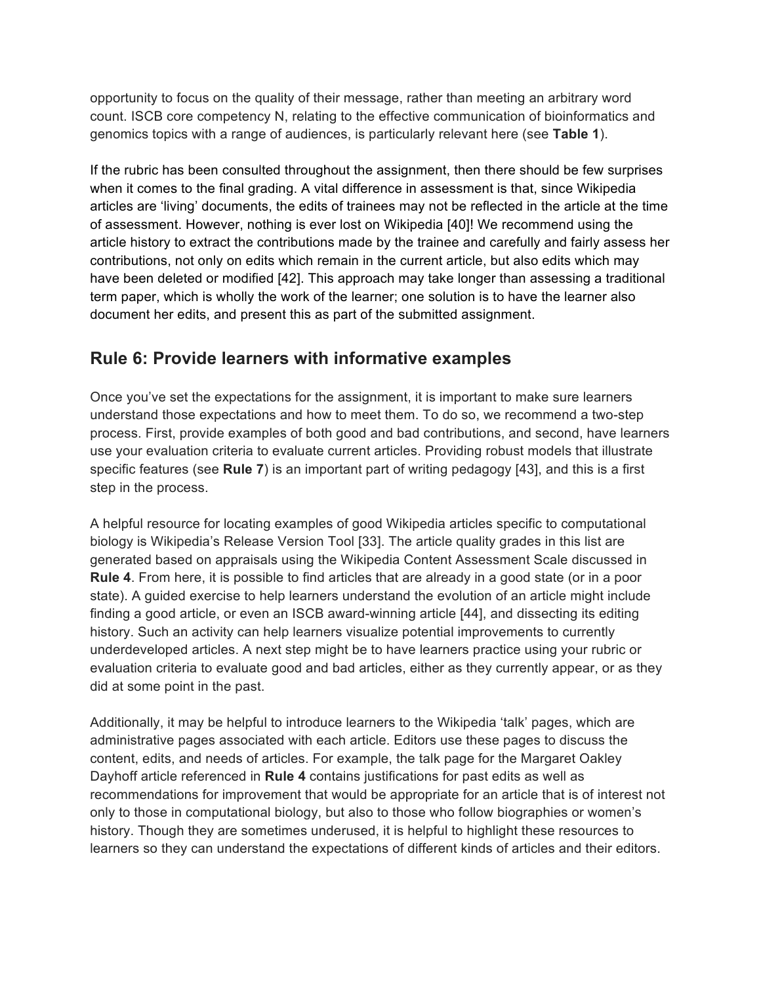opportunity to focus on the quality of their message, rather than meeting an arbitrary word count. ISCB core competency N, relating to the effective communication of bioinformatics and genomics topics with a range of audiences, is particularly relevant here (see **Table 1**).

If the rubric has been consulted throughout the assignment, then there should be few surprises when it comes to the final grading. A vital difference in assessment is that, since Wikipedia articles are 'living' documents, the edits of trainees may not be reflected in the article at the time of assessment. However, nothing is ever lost on Wikipedia [40]! We recommend using the article history to extract the contributions made by the trainee and carefully and fairly assess her contributions, not only on edits which remain in the current article, but also edits which may have been deleted or modified [42]. This approach may take longer than assessing a traditional term paper, which is wholly the work of the learner; one solution is to have the learner also document her edits, and present this as part of the submitted assignment.

### **Rule 6: Provide learners with informative examples**

Once you've set the expectations for the assignment, it is important to make sure learners understand those expectations and how to meet them. To do so, we recommend a two-step process. First, provide examples of both good and bad contributions, and second, have learners use your evaluation criteria to evaluate current articles. Providing robust models that illustrate specific features (see **Rule 7**) is an important part of writing pedagogy [43], and this is a first step in the process.

A helpful resource for locating examples of good Wikipedia articles specific to computational biology is Wikipedia's Release Version Tool [33]. The article quality grades in this list are generated based on appraisals using the Wikipedia Content Assessment Scale discussed in **Rule 4**. From here, it is possible to find articles that are already in a good state (or in a poor state). A guided exercise to help learners understand the evolution of an article might include finding a good article, or even an ISCB award-winning article [44], and dissecting its editing history. Such an activity can help learners visualize potential improvements to currently underdeveloped articles. A next step might be to have learners practice using your rubric or evaluation criteria to evaluate good and bad articles, either as they currently appear, or as they did at some point in the past.

Additionally, it may be helpful to introduce learners to the Wikipedia 'talk' pages, which are administrative pages associated with each article. Editors use these pages to discuss the content, edits, and needs of articles. For example, the talk page for the Margaret Oakley Dayhoff article referenced in **Rule 4** contains justifications for past edits as well as recommendations for improvement that would be appropriate for an article that is of interest not only to those in computational biology, but also to those who follow biographies or women's history. Though they are sometimes underused, it is helpful to highlight these resources to learners so they can understand the expectations of different kinds of articles and their editors.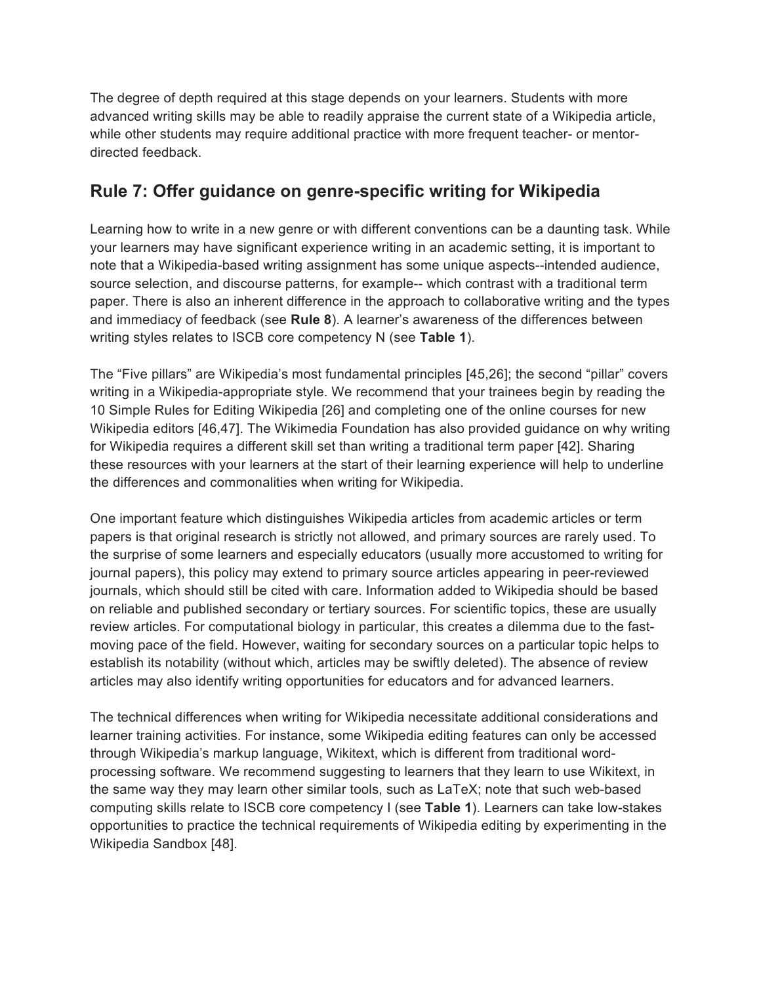The degree of depth required at this stage depends on your learners. Students with more advanced writing skills may be able to readily appraise the current state of a Wikipedia article, while other students may require additional practice with more frequent teacher- or mentordirected feedback.

### **Rule 7: Offer guidance on genre-specific writing for Wikipedia**

Learning how to write in a new genre or with different conventions can be a daunting task. While your learners may have significant experience writing in an academic setting, it is important to note that a Wikipedia-based writing assignment has some unique aspects--intended audience, source selection, and discourse patterns, for example-- which contrast with a traditional term paper. There is also an inherent difference in the approach to collaborative writing and the types and immediacy of feedback (see **Rule 8**). A learner's awareness of the differences between writing styles relates to ISCB core competency N (see **Table 1**).

The "Five pillars" are Wikipedia's most fundamental principles [45,26]; the second "pillar" covers writing in a Wikipedia-appropriate style. We recommend that your trainees begin by reading the 10 Simple Rules for Editing Wikipedia [26] and completing one of the online courses for new Wikipedia editors [46,47]. The Wikimedia Foundation has also provided guidance on why writing for Wikipedia requires a different skill set than writing a traditional term paper [42]. Sharing these resources with your learners at the start of their learning experience will help to underline the differences and commonalities when writing for Wikipedia.

One important feature which distinguishes Wikipedia articles from academic articles or term papers is that original research is strictly not allowed, and primary sources are rarely used. To the surprise of some learners and especially educators (usually more accustomed to writing for journal papers), this policy may extend to primary source articles appearing in peer-reviewed journals, which should still be cited with care. Information added to Wikipedia should be based on reliable and published secondary or tertiary sources. For scientific topics, these are usually review articles. For computational biology in particular, this creates a dilemma due to the fastmoving pace of the field. However, waiting for secondary sources on a particular topic helps to establish its notability (without which, articles may be swiftly deleted). The absence of review articles may also identify writing opportunities for educators and for advanced learners.

The technical differences when writing for Wikipedia necessitate additional considerations and learner training activities. For instance, some Wikipedia editing features can only be accessed through Wikipedia's markup language, Wikitext, which is different from traditional wordprocessing software. We recommend suggesting to learners that they learn to use Wikitext, in the same way they may learn other similar tools, such as LaTeX; note that such web-based computing skills relate to ISCB core competency I (see **Table 1**). Learners can take low-stakes opportunities to practice the technical requirements of Wikipedia editing by experimenting in the Wikipedia Sandbox [48].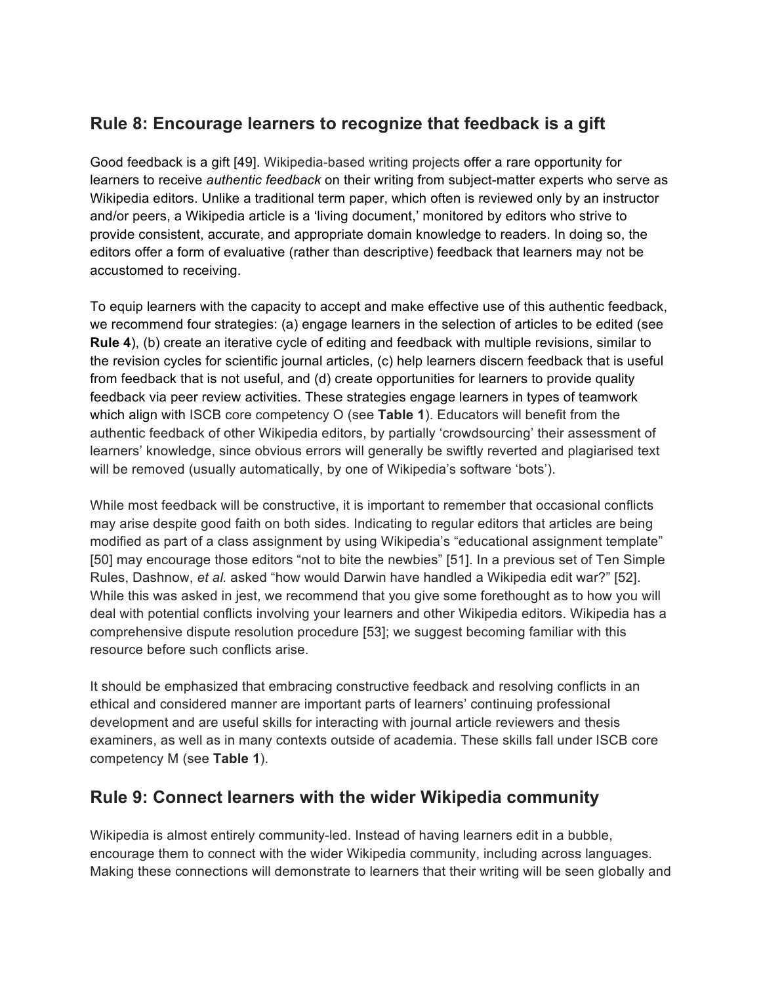#### **Rule 8: Encourage learners to recognize that feedback is a gift**

Good feedback is a gift [49]. Wikipedia-based writing projects offer a rare opportunity for learners to receive *authentic feedback* on their writing from subject-matter experts who serve as Wikipedia editors. Unlike a traditional term paper, which often is reviewed only by an instructor and/or peers, a Wikipedia article is a 'living document,' monitored by editors who strive to provide consistent, accurate, and appropriate domain knowledge to readers. In doing so, the editors offer a form of evaluative (rather than descriptive) feedback that learners may not be accustomed to receiving.

To equip learners with the capacity to accept and make effective use of this authentic feedback, we recommend four strategies: (a) engage learners in the selection of articles to be edited (see **Rule 4**), (b) create an iterative cycle of editing and feedback with multiple revisions, similar to the revision cycles for scientific journal articles, (c) help learners discern feedback that is useful from feedback that is not useful, and (d) create opportunities for learners to provide quality feedback via peer review activities. These strategies engage learners in types of teamwork which align with ISCB core competency O (see **Table 1**). Educators will benefit from the authentic feedback of other Wikipedia editors, by partially 'crowdsourcing' their assessment of learners' knowledge, since obvious errors will generally be swiftly reverted and plagiarised text will be removed (usually automatically, by one of Wikipedia's software 'bots').

While most feedback will be constructive, it is important to remember that occasional conflicts may arise despite good faith on both sides. Indicating to regular editors that articles are being modified as part of a class assignment by using Wikipedia's "educational assignment template" [50] may encourage those editors "not to bite the newbies" [51]. In a previous set of Ten Simple Rules, Dashnow, *et al.* asked "how would Darwin have handled a Wikipedia edit war?" [52]. While this was asked in jest, we recommend that you give some forethought as to how you will deal with potential conflicts involving your learners and other Wikipedia editors. Wikipedia has a comprehensive dispute resolution procedure [53]; we suggest becoming familiar with this resource before such conflicts arise.

It should be emphasized that embracing constructive feedback and resolving conflicts in an ethical and considered manner are important parts of learners' continuing professional development and are useful skills for interacting with journal article reviewers and thesis examiners, as well as in many contexts outside of academia. These skills fall under ISCB core competency M (see **Table 1**).

#### **Rule 9: Connect learners with the wider Wikipedia community**

Wikipedia is almost entirely community-led. Instead of having learners edit in a bubble, encourage them to connect with the wider Wikipedia community, including across languages. Making these connections will demonstrate to learners that their writing will be seen globally and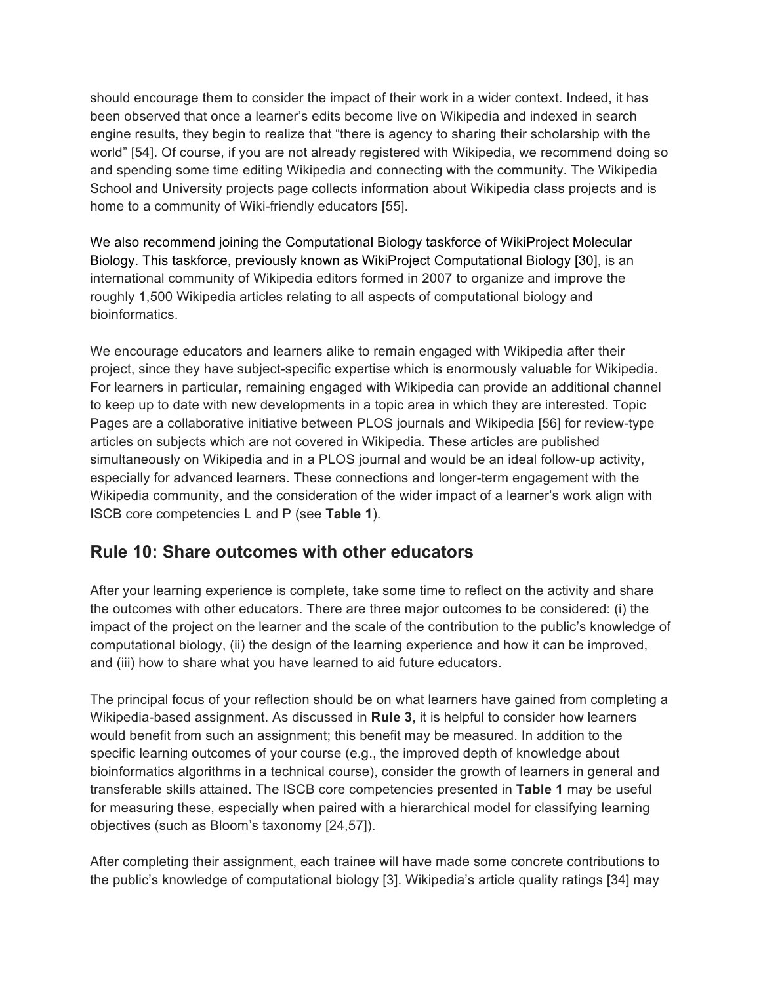should encourage them to consider the impact of their work in a wider context. Indeed, it has been observed that once a learner's edits become live on Wikipedia and indexed in search engine results, they begin to realize that "there is agency to sharing their scholarship with the world" [54]. Of course, if you are not already registered with Wikipedia, we recommend doing so and spending some time editing Wikipedia and connecting with the community. The Wikipedia School and University projects page collects information about Wikipedia class projects and is home to a community of Wiki-friendly educators [55].

We also recommend joining the Computational Biology taskforce of WikiProject Molecular Biology. This taskforce, previously known as WikiProject Computational Biology [30], is an international community of Wikipedia editors formed in 2007 to organize and improve the roughly 1,500 Wikipedia articles relating to all aspects of computational biology and bioinformatics.

We encourage educators and learners alike to remain engaged with Wikipedia after their project, since they have subject-specific expertise which is enormously valuable for Wikipedia. For learners in particular, remaining engaged with Wikipedia can provide an additional channel to keep up to date with new developments in a topic area in which they are interested. Topic Pages are a collaborative initiative between PLOS journals and Wikipedia [56] for review-type articles on subjects which are not covered in Wikipedia. These articles are published simultaneously on Wikipedia and in a PLOS journal and would be an ideal follow-up activity, especially for advanced learners. These connections and longer-term engagement with the Wikipedia community, and the consideration of the wider impact of a learner's work align with ISCB core competencies L and P (see **Table 1**).

#### **Rule 10: Share outcomes with other educators**

After your learning experience is complete, take some time to reflect on the activity and share the outcomes with other educators. There are three major outcomes to be considered: (i) the impact of the project on the learner and the scale of the contribution to the public's knowledge of computational biology, (ii) the design of the learning experience and how it can be improved, and (iii) how to share what you have learned to aid future educators.

The principal focus of your reflection should be on what learners have gained from completing a Wikipedia-based assignment. As discussed in **Rule 3**, it is helpful to consider how learners would benefit from such an assignment; this benefit may be measured. In addition to the specific learning outcomes of your course (e.g., the improved depth of knowledge about bioinformatics algorithms in a technical course), consider the growth of learners in general and transferable skills attained. The ISCB core competencies presented in **Table 1** may be useful for measuring these, especially when paired with a hierarchical model for classifying learning objectives (such as Bloom's taxonomy [24,57]).

After completing their assignment, each trainee will have made some concrete contributions to the public's knowledge of computational biology [3]. Wikipedia's article quality ratings [34] may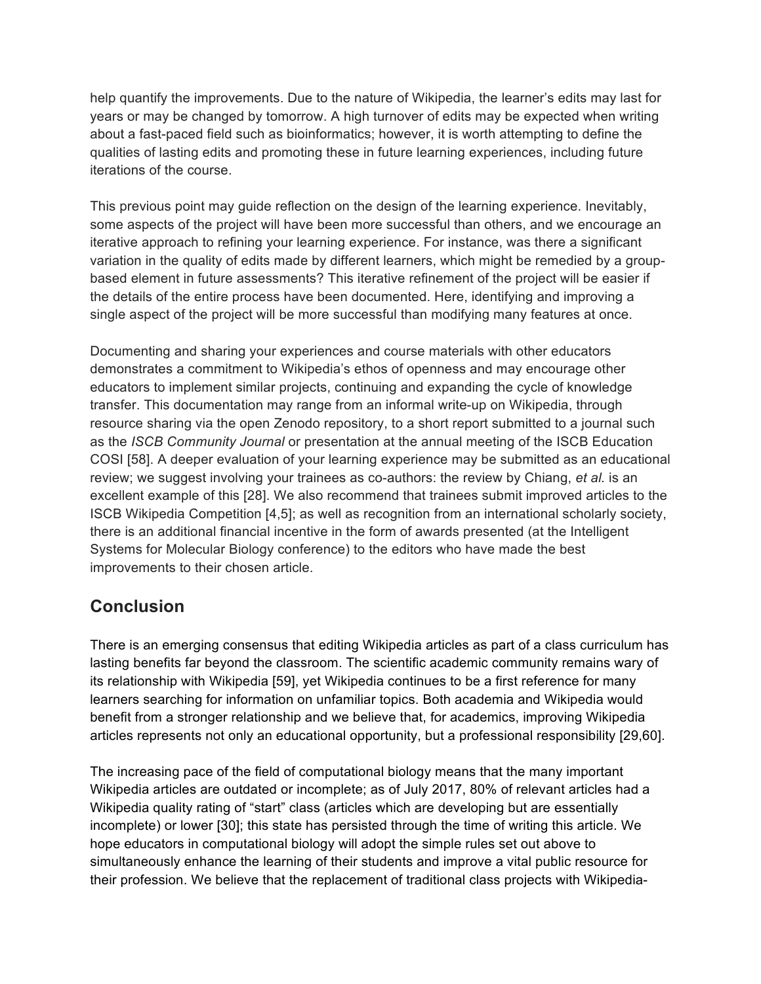help quantify the improvements. Due to the nature of Wikipedia, the learner's edits may last for years or may be changed by tomorrow. A high turnover of edits may be expected when writing about a fast-paced field such as bioinformatics; however, it is worth attempting to define the qualities of lasting edits and promoting these in future learning experiences, including future iterations of the course.

This previous point may guide reflection on the design of the learning experience. Inevitably, some aspects of the project will have been more successful than others, and we encourage an iterative approach to refining your learning experience. For instance, was there a significant variation in the quality of edits made by different learners, which might be remedied by a groupbased element in future assessments? This iterative refinement of the project will be easier if the details of the entire process have been documented. Here, identifying and improving a single aspect of the project will be more successful than modifying many features at once.

Documenting and sharing your experiences and course materials with other educators demonstrates a commitment to Wikipedia's ethos of openness and may encourage other educators to implement similar projects, continuing and expanding the cycle of knowledge transfer. This documentation may range from an informal write-up on Wikipedia, through resource sharing via the open Zenodo repository, to a short report submitted to a journal such as the *ISCB Community Journal* or presentation at the annual meeting of the ISCB Education COSI [58]. A deeper evaluation of your learning experience may be submitted as an educational review; we suggest involving your trainees as co-authors: the review by Chiang, *et al.* is an excellent example of this [28]. We also recommend that trainees submit improved articles to the ISCB Wikipedia Competition [4,5]; as well as recognition from an international scholarly society, there is an additional financial incentive in the form of awards presented (at the Intelligent Systems for Molecular Biology conference) to the editors who have made the best improvements to their chosen article.

#### **Conclusion**

There is an emerging consensus that editing Wikipedia articles as part of a class curriculum has lasting benefits far beyond the classroom. The scientific academic community remains wary of its relationship with Wikipedia [59], yet Wikipedia continues to be a first reference for many learners searching for information on unfamiliar topics. Both academia and Wikipedia would benefit from a stronger relationship and we believe that, for academics, improving Wikipedia articles represents not only an educational opportunity, but a professional responsibility [29,60].

The increasing pace of the field of computational biology means that the many important Wikipedia articles are outdated or incomplete; as of July 2017, 80% of relevant articles had a Wikipedia quality rating of "start" class (articles which are developing but are essentially incomplete) or lower [30]; this state has persisted through the time of writing this article. We hope educators in computational biology will adopt the simple rules set out above to simultaneously enhance the learning of their students and improve a vital public resource for their profession. We believe that the replacement of traditional class projects with Wikipedia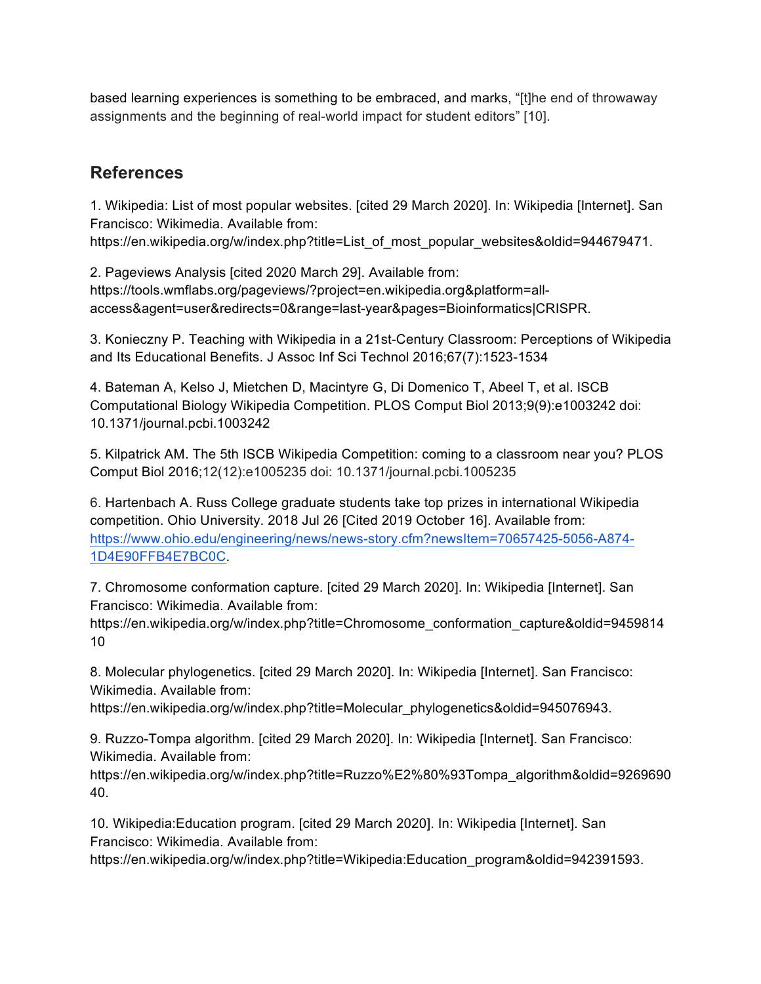based learning experiences is something to be embraced, and marks, "[t]he end of throwaway assignments and the beginning of real-world impact for student editors" [10].

### **References**

1. Wikipedia: List of most popular websites. [cited 29 March 2020]. In: Wikipedia [Internet]. San Francisco: Wikimedia. Available from:

https://en.wikipedia.org/w/index.php?title=List\_of\_most\_popular\_websites&oldid=944679471.

2. Pageviews Analysis [cited 2020 March 29]. Available from: https://tools.wmflabs.org/pageviews/?project=en.wikipedia.org&platform=allaccess&agent=user&redirects=0&range=last-year&pages=Bioinformatics|CRISPR.

3. Konieczny P. Teaching with Wikipedia in a 21st-Century Classroom: Perceptions of Wikipedia and Its Educational Benefits. J Assoc Inf Sci Technol 2016;67(7):1523-1534

4. Bateman A, Kelso J, Mietchen D, Macintyre G, Di Domenico T, Abeel T, et al. ISCB Computational Biology Wikipedia Competition. PLOS Comput Biol 2013;9(9):e1003242 doi: 10.1371/journal.pcbi.1003242

5. Kilpatrick AM. The 5th ISCB Wikipedia Competition: coming to a classroom near you? PLOS Comput Biol 2016;12(12):e1005235 doi: 10.1371/journal.pcbi.1005235

6. Hartenbach A. Russ College graduate students take top prizes in international Wikipedia competition. Ohio University. 2018 Jul 26 [Cited 2019 October 16]. Available from: https://www.ohio.edu/engineering/news/news-story.cfm?newsItem=70657425-5056-A874- 1D4E90FFB4E7BC0C.

7. Chromosome conformation capture. [cited 29 March 2020]. In: Wikipedia [Internet]. San Francisco: Wikimedia. Available from:

https://en.wikipedia.org/w/index.php?title=Chromosome\_conformation\_capture&oldid=9459814 10

8. Molecular phylogenetics. [cited 29 March 2020]. In: Wikipedia [Internet]. San Francisco: Wikimedia. Available from:

https://en.wikipedia.org/w/index.php?title=Molecular\_phylogenetics&oldid=945076943.

9. Ruzzo-Tompa algorithm. [cited 29 March 2020]. In: Wikipedia [Internet]. San Francisco: Wikimedia. Available from:

https://en.wikipedia.org/w/index.php?title=Ruzzo%E2%80%93Tompa\_algorithm&oldid=9269690 40.

10. Wikipedia:Education program. [cited 29 March 2020]. In: Wikipedia [Internet]. San Francisco: Wikimedia. Available from:

https://en.wikipedia.org/w/index.php?title=Wikipedia:Education\_program&oldid=942391593.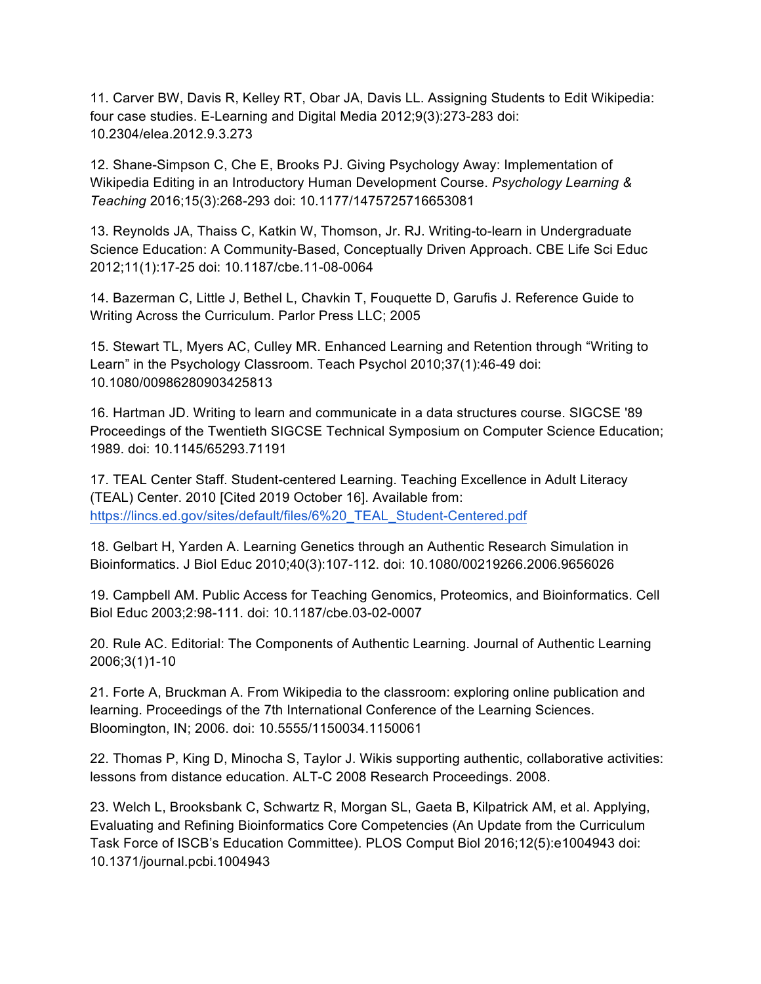11. Carver BW, Davis R, Kelley RT, Obar JA, Davis LL. Assigning Students to Edit Wikipedia: four case studies. E-Learning and Digital Media 2012;9(3):273-283 doi: 10.2304/elea.2012.9.3.273

12. Shane-Simpson C, Che E, Brooks PJ. Giving Psychology Away: Implementation of Wikipedia Editing in an Introductory Human Development Course. *Psychology Learning & Teaching* 2016;15(3):268-293 doi: 10.1177/1475725716653081

13. Reynolds JA, Thaiss C, Katkin W, Thomson, Jr. RJ. Writing-to-learn in Undergraduate Science Education: A Community-Based, Conceptually Driven Approach. CBE Life Sci Educ 2012;11(1):17-25 doi: 10.1187/cbe.11-08-0064

14. Bazerman C, Little J, Bethel L, Chavkin T, Fouquette D, Garufis J. Reference Guide to Writing Across the Curriculum. Parlor Press LLC; 2005

15. Stewart TL, Myers AC, Culley MR. Enhanced Learning and Retention through "Writing to Learn" in the Psychology Classroom. Teach Psychol 2010;37(1):46-49 doi: 10.1080/00986280903425813

16. Hartman JD. Writing to learn and communicate in a data structures course. SIGCSE '89 Proceedings of the Twentieth SIGCSE Technical Symposium on Computer Science Education; 1989. doi: 10.1145/65293.71191

17. TEAL Center Staff. Student-centered Learning. Teaching Excellence in Adult Literacy (TEAL) Center. 2010 [Cited 2019 October 16]. Available from: https://lincs.ed.gov/sites/default/files/6%20\_TEAL\_Student-Centered.pdf

18. Gelbart H, Yarden A. Learning Genetics through an Authentic Research Simulation in Bioinformatics. J Biol Educ 2010;40(3):107-112. doi: 10.1080/00219266.2006.9656026

19. Campbell AM. Public Access for Teaching Genomics, Proteomics, and Bioinformatics. Cell Biol Educ 2003;2:98-111. doi: 10.1187/cbe.03-02-0007

20. Rule AC. Editorial: The Components of Authentic Learning. Journal of Authentic Learning 2006;3(1)1-10

21. Forte A, Bruckman A. From Wikipedia to the classroom: exploring online publication and learning. Proceedings of the 7th International Conference of the Learning Sciences. Bloomington, IN; 2006. doi: 10.5555/1150034.1150061

22. Thomas P, King D, Minocha S, Taylor J. Wikis supporting authentic, collaborative activities: lessons from distance education. ALT-C 2008 Research Proceedings. 2008.

23. Welch L, Brooksbank C, Schwartz R, Morgan SL, Gaeta B, Kilpatrick AM, et al. Applying, Evaluating and Refining Bioinformatics Core Competencies (An Update from the Curriculum Task Force of ISCB's Education Committee). PLOS Comput Biol 2016;12(5):e1004943 doi: 10.1371/journal.pcbi.1004943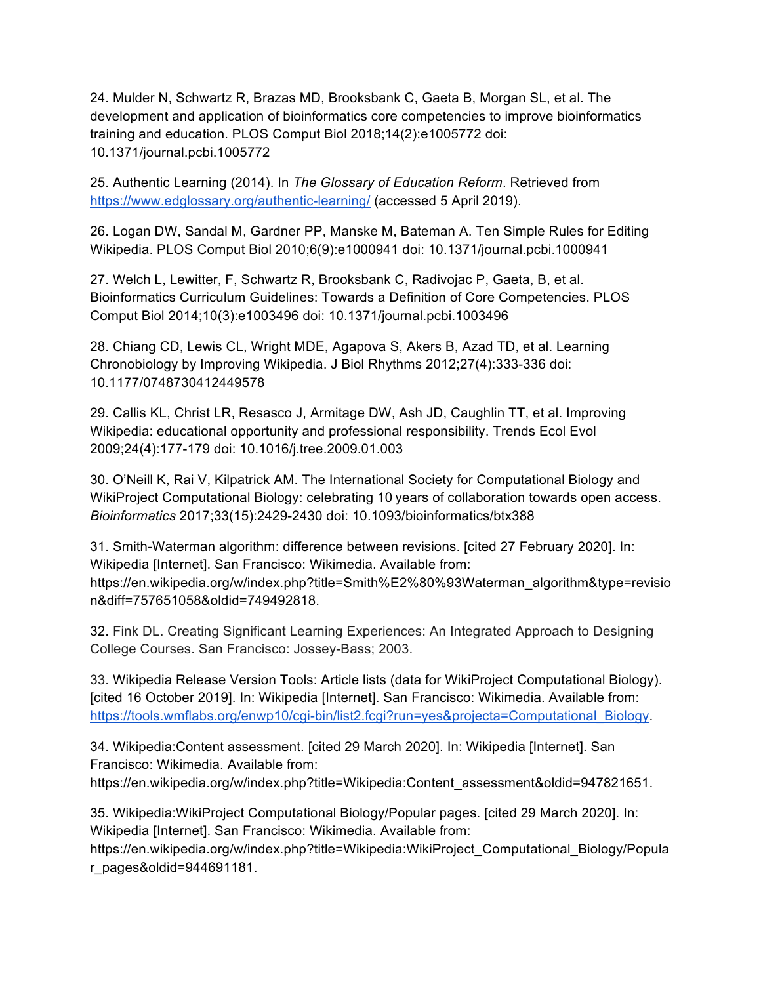24. Mulder N, Schwartz R, Brazas MD, Brooksbank C, Gaeta B, Morgan SL, et al. The development and application of bioinformatics core competencies to improve bioinformatics training and education. PLOS Comput Biol 2018;14(2):e1005772 doi: 10.1371/journal.pcbi.1005772

25. Authentic Learning (2014). In *The Glossary of Education Reform*. Retrieved from https://www.edglossary.org/authentic-learning/ (accessed 5 April 2019).

26. Logan DW, Sandal M, Gardner PP, Manske M, Bateman A. Ten Simple Rules for Editing Wikipedia. PLOS Comput Biol 2010;6(9):e1000941 doi: 10.1371/journal.pcbi.1000941

27. Welch L, Lewitter, F, Schwartz R, Brooksbank C, Radivojac P, Gaeta, B, et al. Bioinformatics Curriculum Guidelines: Towards a Definition of Core Competencies. PLOS Comput Biol 2014;10(3):e1003496 doi: 10.1371/journal.pcbi.1003496

28. Chiang CD, Lewis CL, Wright MDE, Agapova S, Akers B, Azad TD, et al. Learning Chronobiology by Improving Wikipedia. J Biol Rhythms 2012;27(4):333-336 doi: 10.1177/0748730412449578

29. Callis KL, Christ LR, Resasco J, Armitage DW, Ash JD, Caughlin TT, et al. Improving Wikipedia: educational opportunity and professional responsibility. Trends Ecol Evol 2009;24(4):177-179 doi: 10.1016/j.tree.2009.01.003

30. O'Neill K, Rai V, Kilpatrick AM. The International Society for Computational Biology and WikiProject Computational Biology: celebrating 10 years of collaboration towards open access. *Bioinformatics* 2017;33(15):2429-2430 doi: 10.1093/bioinformatics/btx388

31. Smith-Waterman algorithm: difference between revisions. [cited 27 February 2020]. In: Wikipedia [Internet]. San Francisco: Wikimedia. Available from: https://en.wikipedia.org/w/index.php?title=Smith%E2%80%93Waterman\_algorithm&type=revisio n&diff=757651058&oldid=749492818.

32. Fink DL. Creating Significant Learning Experiences: An Integrated Approach to Designing College Courses. San Francisco: Jossey-Bass; 2003.

33. Wikipedia Release Version Tools: Article lists (data for WikiProject Computational Biology). [cited 16 October 2019]. In: Wikipedia [Internet]. San Francisco: Wikimedia. Available from: https://tools.wmflabs.org/enwp10/cgi-bin/list2.fcgi?run=yes&projecta=Computational\_Biology.

34. Wikipedia:Content assessment. [cited 29 March 2020]. In: Wikipedia [Internet]. San Francisco: Wikimedia. Available from:

https://en.wikipedia.org/w/index.php?title=Wikipedia:Content\_assessment&oldid=947821651.

35. Wikipedia:WikiProject Computational Biology/Popular pages. [cited 29 March 2020]. In: Wikipedia [Internet]. San Francisco: Wikimedia. Available from:

https://en.wikipedia.org/w/index.php?title=Wikipedia:WikiProject\_Computational\_Biology/Popula r\_pages&oldid=944691181.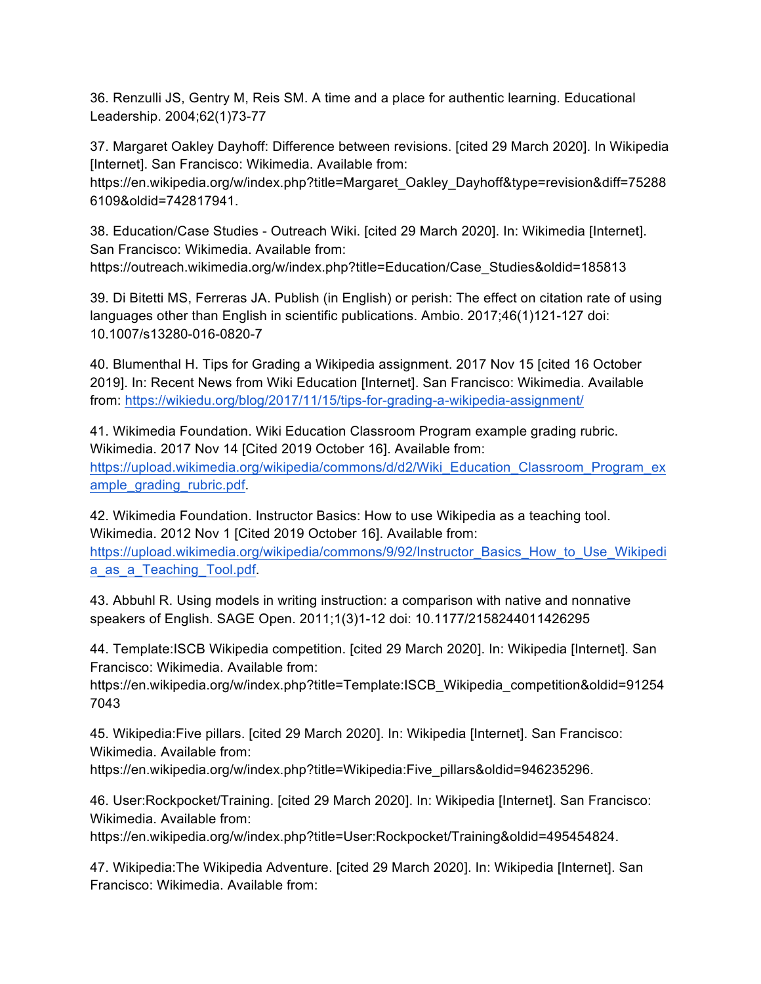36. Renzulli JS, Gentry M, Reis SM. A time and a place for authentic learning. Educational Leadership. 2004;62(1)73-77

37. Margaret Oakley Dayhoff: Difference between revisions. [cited 29 March 2020]. In Wikipedia [Internet]. San Francisco: Wikimedia. Available from:

https://en.wikipedia.org/w/index.php?title=Margaret\_Oakley\_Dayhoff&type=revision&diff=75288 6109&oldid=742817941.

38. Education/Case Studies - Outreach Wiki. [cited 29 March 2020]. In: Wikimedia [Internet]. San Francisco: Wikimedia. Available from: https://outreach.wikimedia.org/w/index.php?title=Education/Case\_Studies&oldid=185813

39. Di Bitetti MS, Ferreras JA. Publish (in English) or perish: The effect on citation rate of using languages other than English in scientific publications. Ambio. 2017;46(1)121-127 doi: 10.1007/s13280-016-0820-7

40. Blumenthal H. Tips for Grading a Wikipedia assignment. 2017 Nov 15 [cited 16 October 2019]. In: Recent News from Wiki Education [Internet]. San Francisco: Wikimedia. Available from: https://wikiedu.org/blog/2017/11/15/tips-for-grading-a-wikipedia-assignment/

41. Wikimedia Foundation. Wiki Education Classroom Program example grading rubric. Wikimedia. 2017 Nov 14 [Cited 2019 October 16]. Available from: https://upload.wikimedia.org/wikipedia/commons/d/d2/Wiki\_Education\_Classroom\_Program\_ex ample\_grading\_rubric.pdf.

42. Wikimedia Foundation. Instructor Basics: How to use Wikipedia as a teaching tool. Wikimedia. 2012 Nov 1 [Cited 2019 October 16]. Available from: https://upload.wikimedia.org/wikipedia/commons/9/92/Instructor\_Basics\_How\_to\_Use\_Wikipedi a as a Teaching Tool.pdf.

43. Abbuhl R. Using models in writing instruction: a comparison with native and nonnative speakers of English. SAGE Open. 2011;1(3)1-12 doi: 10.1177/2158244011426295

44. Template:ISCB Wikipedia competition. [cited 29 March 2020]. In: Wikipedia [Internet]. San Francisco: Wikimedia. Available from:

https://en.wikipedia.org/w/index.php?title=Template:ISCB\_Wikipedia\_competition&oldid=91254 7043

45. Wikipedia:Five pillars. [cited 29 March 2020]. In: Wikipedia [Internet]. San Francisco: Wikimedia. Available from:

https://en.wikipedia.org/w/index.php?title=Wikipedia:Five\_pillars&oldid=946235296.

46. User:Rockpocket/Training. [cited 29 March 2020]. In: Wikipedia [Internet]. San Francisco: Wikimedia. Available from:

https://en.wikipedia.org/w/index.php?title=User:Rockpocket/Training&oldid=495454824.

47. Wikipedia:The Wikipedia Adventure. [cited 29 March 2020]. In: Wikipedia [Internet]. San Francisco: Wikimedia. Available from: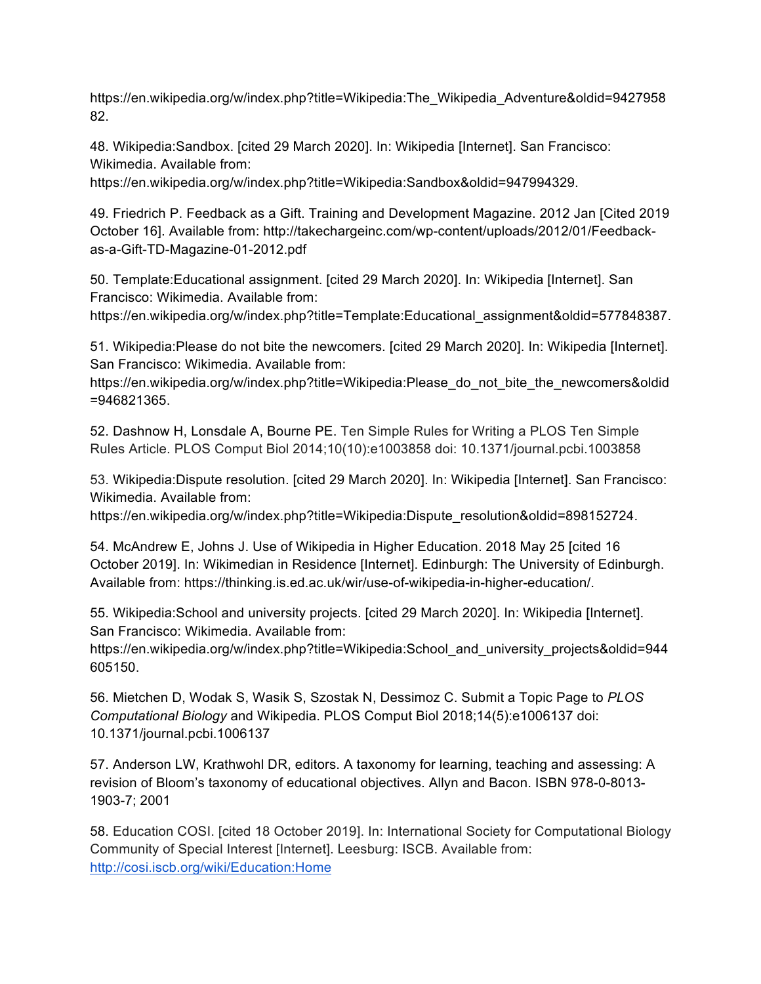https://en.wikipedia.org/w/index.php?title=Wikipedia:The\_Wikipedia\_Adventure&oldid=9427958 82.

48. Wikipedia:Sandbox. [cited 29 March 2020]. In: Wikipedia [Internet]. San Francisco: Wikimedia. Available from:

https://en.wikipedia.org/w/index.php?title=Wikipedia:Sandbox&oldid=947994329.

49. Friedrich P. Feedback as a Gift. Training and Development Magazine. 2012 Jan [Cited 2019 October 16]. Available from: http://takechargeinc.com/wp-content/uploads/2012/01/Feedbackas-a-Gift-TD-Magazine-01-2012.pdf

50. Template:Educational assignment. [cited 29 March 2020]. In: Wikipedia [Internet]. San Francisco: Wikimedia. Available from:

https://en.wikipedia.org/w/index.php?title=Template:Educational\_assignment&oldid=577848387.

51. Wikipedia:Please do not bite the newcomers. [cited 29 March 2020]. In: Wikipedia [Internet]. San Francisco: Wikimedia. Available from:

https://en.wikipedia.org/w/index.php?title=Wikipedia:Please\_do\_not\_bite\_the\_newcomers&oldid =946821365.

52. Dashnow H, Lonsdale A, Bourne PE. Ten Simple Rules for Writing a PLOS Ten Simple Rules Article. PLOS Comput Biol 2014;10(10):e1003858 doi: 10.1371/journal.pcbi.1003858

53. Wikipedia:Dispute resolution. [cited 29 March 2020]. In: Wikipedia [Internet]. San Francisco: Wikimedia. Available from:

https://en.wikipedia.org/w/index.php?title=Wikipedia:Dispute\_resolution&oldid=898152724.

54. McAndrew E, Johns J. Use of Wikipedia in Higher Education. 2018 May 25 [cited 16 October 2019]. In: Wikimedian in Residence [Internet]. Edinburgh: The University of Edinburgh. Available from: https://thinking.is.ed.ac.uk/wir/use-of-wikipedia-in-higher-education/.

55. Wikipedia:School and university projects. [cited 29 March 2020]. In: Wikipedia [Internet]. San Francisco: Wikimedia. Available from:

https://en.wikipedia.org/w/index.php?title=Wikipedia:School\_and\_university\_projects&oldid=944 605150.

56. Mietchen D, Wodak S, Wasik S, Szostak N, Dessimoz C. Submit a Topic Page to *PLOS Computational Biology* and Wikipedia. PLOS Comput Biol 2018;14(5):e1006137 doi: 10.1371/journal.pcbi.1006137

57. Anderson LW, Krathwohl DR, editors. A taxonomy for learning, teaching and assessing: A revision of Bloom's taxonomy of educational objectives. Allyn and Bacon. ISBN 978-0-8013- 1903-7; 2001

58. Education COSI. [cited 18 October 2019]. In: International Society for Computational Biology Community of Special Interest [Internet]. Leesburg: ISCB. Available from: http://cosi.iscb.org/wiki/Education:Home